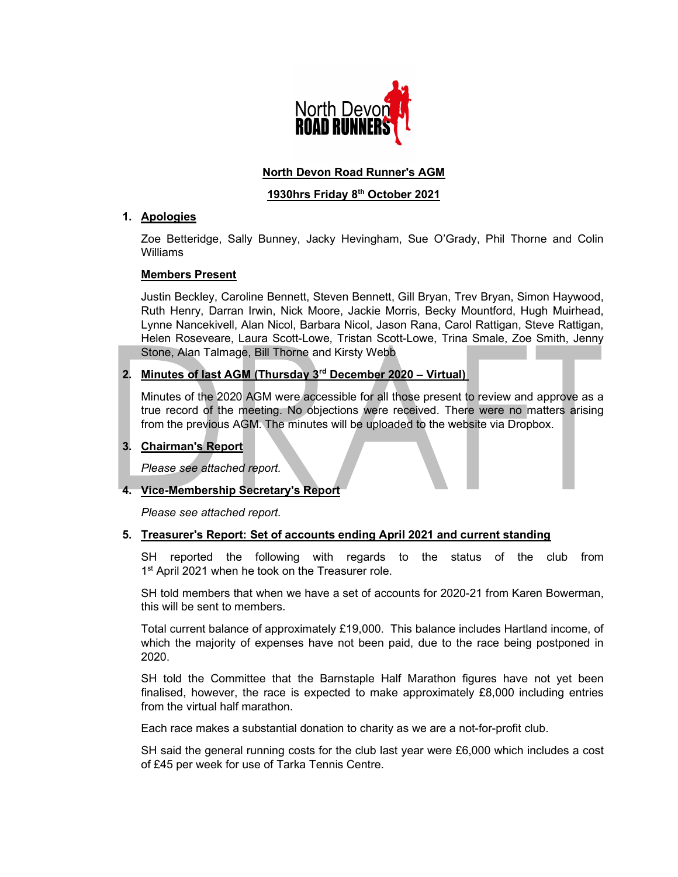

# North Devon Road Runner's AGM

## 1930hrs Friday 8th October 2021

## 1. Apologies

Zoe Betteridge, Sally Bunney, Jacky Hevingham, Sue O'Grady, Phil Thorne and Colin Williams

## Members Present

Justin Beckley, Caroline Bennett, Steven Bennett, Gill Bryan, Trev Bryan, Simon Haywood, Ruth Henry, Darran Irwin, Nick Moore, Jackie Morris, Becky Mountford, Hugh Muirhead, Lynne Nancekivell, Alan Nicol, Barbara Nicol, Jason Rana, Carol Rattigan, Steve Rattigan, Helen Roseveare, Laura Scott-Lowe, Tristan Scott-Lowe, Trina Smale, Zoe Smith, Jenny Stone, Alan Talmage, Bill Thorne and Kirsty Webb

# 2. Minutes of last AGM (Thursday 3<sup>rd</sup> December 2020 - Virtual)

Minutes of the 2020 AGM were accessible for all those present to review and approve as a true record of the meeting. No objections were received. There were no matters arising from the previous AGM. The minutes will be uploaded to the website via Dropbox.

# 3. Chairman's Report

Please see attached report.

# 4. Vice-Membership Secretary's Report

Please see attached report.

## 5. Treasurer's Report: Set of accounts ending April 2021 and current standing

SH reported the following with regards to the status of the club from 1<sup>st</sup> April 2021 when he took on the Treasurer role.

SH told members that when we have a set of accounts for 2020-21 from Karen Bowerman, this will be sent to members.

Total current balance of approximately £19,000. This balance includes Hartland income, of which the majority of expenses have not been paid, due to the race being postponed in 2020.

SH told the Committee that the Barnstaple Half Marathon figures have not yet been finalised, however, the race is expected to make approximately £8,000 including entries from the virtual half marathon.

Each race makes a substantial donation to charity as we are a not-for-profit club.

SH said the general running costs for the club last year were £6,000 which includes a cost of £45 per week for use of Tarka Tennis Centre.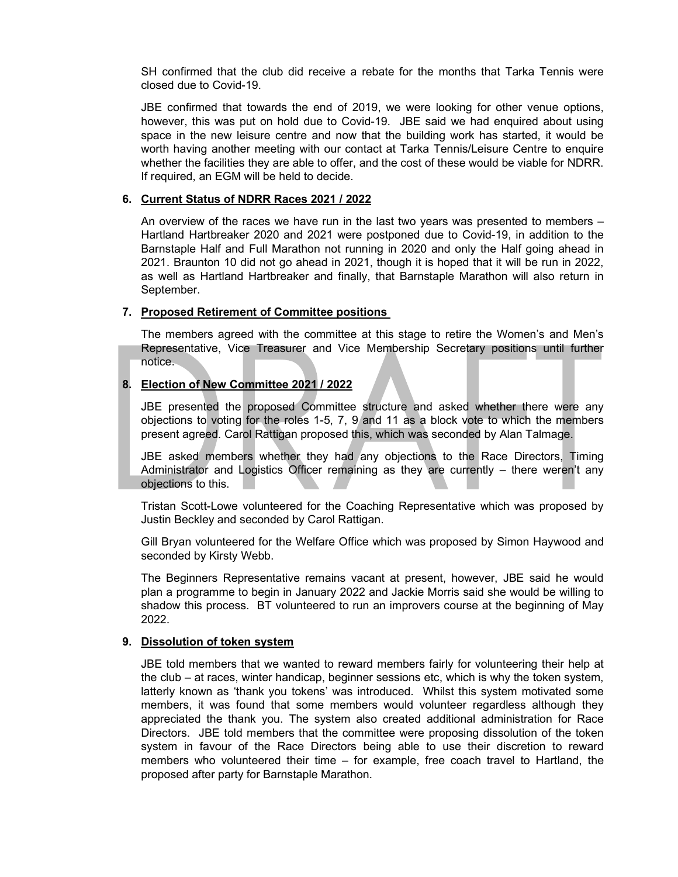SH confirmed that the club did receive a rebate for the months that Tarka Tennis were closed due to Covid-19.

JBE confirmed that towards the end of 2019, we were looking for other venue options, however, this was put on hold due to Covid-19. JBE said we had enquired about using space in the new leisure centre and now that the building work has started, it would be worth having another meeting with our contact at Tarka Tennis/Leisure Centre to enquire whether the facilities they are able to offer, and the cost of these would be viable for NDRR. If required, an EGM will be held to decide.

### 6. Current Status of NDRR Races 2021 / 2022

An overview of the races we have run in the last two years was presented to members – Hartland Hartbreaker 2020 and 2021 were postponed due to Covid-19, in addition to the Barnstaple Half and Full Marathon not running in 2020 and only the Half going ahead in 2021. Braunton 10 did not go ahead in 2021, though it is hoped that it will be run in 2022, as well as Hartland Hartbreaker and finally, that Barnstaple Marathon will also return in September.

### 7. Proposed Retirement of Committee positions

The members agreed with the committee at this stage to retire the Women's and Men's Representative, Vice Treasurer and Vice Membership Secretary positions until further notice.

## 8. Election of New Committee 2021 / 2022

JBE presented the proposed Committee structure and asked whether there were any objections to voting for the roles 1-5, 7, 9 and 11 as a block vote to which the members present agreed. Carol Rattigan proposed this, which was seconded by Alan Talmage.

JBE asked members whether they had any objections to the Race Directors, Timing Administrator and Logistics Officer remaining as they are currently – there weren't any objections to this.

Tristan Scott-Lowe volunteered for the Coaching Representative which was proposed by Justin Beckley and seconded by Carol Rattigan.

Gill Bryan volunteered for the Welfare Office which was proposed by Simon Haywood and seconded by Kirsty Webb.

The Beginners Representative remains vacant at present, however, JBE said he would plan a programme to begin in January 2022 and Jackie Morris said she would be willing to shadow this process. BT volunteered to run an improvers course at the beginning of May 2022.

#### 9. Dissolution of token system

JBE told members that we wanted to reward members fairly for volunteering their help at the club – at races, winter handicap, beginner sessions etc, which is why the token system, latterly known as 'thank you tokens' was introduced. Whilst this system motivated some members, it was found that some members would volunteer regardless although they appreciated the thank you. The system also created additional administration for Race Directors. JBE told members that the committee were proposing dissolution of the token system in favour of the Race Directors being able to use their discretion to reward members who volunteered their time – for example, free coach travel to Hartland, the proposed after party for Barnstaple Marathon.